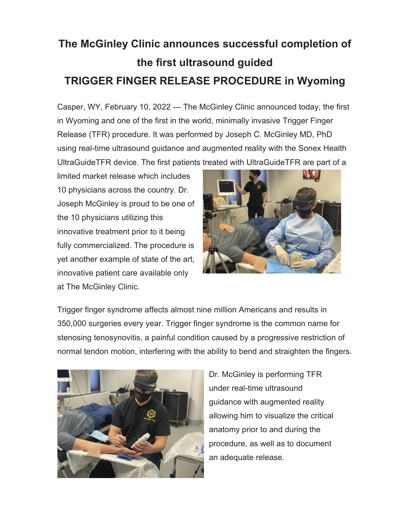## **The McGinley Clinic announces successful completion of the first ultrasound guided TRIGGER FINGER RELEASE PROCEDURE in Wyoming**

Casper, WY, February 10, 2022 — The McGinley Clinic announced today, the first in Wyoming and one of the first in the world, minimally invasive Trigger Finger Release (TFR) procedure. It was performed by Joseph C. McGinley MD, PhD using real-time ultrasound guidance and augmented reality with the Sonex Health UltraGuideTFR device. The first patients treated with UltraGuideTFR are part of a

limited market release which includes 10 physicians across the country. Dr. Joseph McGinley is proud to be one of the 10 physicians utilizing this innovative treatment prior to it being fully commercialized. The procedure is yet another example of state of the art, innovative patient care available only at The McGinley Clinic.



Trigger finger syndrome affects almost nine million Americans and results in 350,000 surgeries every year. Trigger finger syndrome is the common name for stenosing tenosynovitis, a painful condition caused by a progressive restriction of normal tendon motion, interfering with the ability to bend and straighten the fingers.



Dr. McGinley is performing TFR under real-time ultrasound guidance with augmented reality allowing him to visualize the critical anatomy prior to and during the procedure, as well as to document an adequate release.